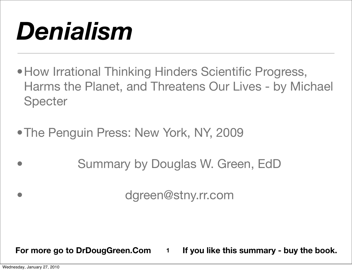# *Denialism*

- How Irrational Thinking Hinders Scientific Progress, Harms the Planet, and Threatens Our Lives - by Michael **Specter**
- The Penguin Press: New York, NY, 2009
	- Summary by Douglas W. Green, EdD

• dgreen@stny.rr.com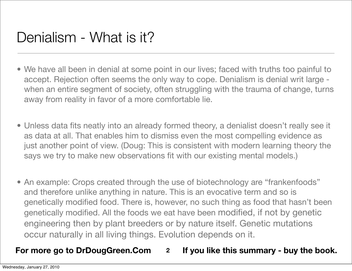- We have all been in denial at some point in our lives; faced with truths too painful to accept. Rejection often seems the only way to cope. Denialism is denial writ large when an entire segment of society, often struggling with the trauma of change, turns away from reality in favor of a more comfortable lie.
- Unless data fits neatly into an already formed theory, a denialist doesn't really see it as data at all. That enables him to dismiss even the most compelling evidence as just another point of view. (Doug: This is consistent with modern learning theory the says we try to make new observations fit with our existing mental models.)
- An example: Crops created through the use of biotechnology are "frankenfoods" and therefore unlike anything in nature. This is an evocative term and so is genetically modified food. There is, however, no such thing as food that hasn't been genetically modified. All the foods we eat have been modified, if not by genetic engineering then by plant breeders or by nature itself. Genetic mutations occur naturally in all living things. Evolution depends on it.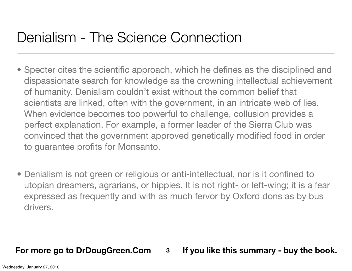## Denialism - The Science Connection

- Specter cites the scientific approach, which he defines as the disciplined and dispassionate search for knowledge as the crowning intellectual achievement of humanity. Denialism couldn't exist without the common belief that scientists are linked, often with the government, in an intricate web of lies. When evidence becomes too powerful to challenge, collusion provides a perfect explanation. For example, a former leader of the Sierra Club was convinced that the government approved genetically modified food in order to guarantee profits for Monsanto.
- Denialism is not green or religious or anti-intellectual, nor is it confined to utopian dreamers, agrarians, or hippies. It is not right- or left-wing; it is a fear expressed as frequently and with as much fervor by Oxford dons as by bus drivers.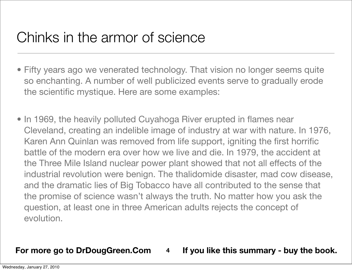## Chinks in the armor of science

- Fifty years ago we venerated technology. That vision no longer seems quite so enchanting. A number of well publicized events serve to gradually erode the scientific mystique. Here are some examples:
- In 1969, the heavily polluted Cuyahoga River erupted in flames near Cleveland, creating an indelible image of industry at war with nature. In 1976, Karen Ann Quinlan was removed from life support, igniting the first horrific battle of the modern era over how we live and die. In 1979, the accident at the Three Mile Island nuclear power plant showed that not all effects of the industrial revolution were benign. The thalidomide disaster, mad cow disease, and the dramatic lies of Big Tobacco have all contributed to the sense that the promise of science wasn't always the truth. No matter how you ask the question, at least one in three American adults rejects the concept of evolution.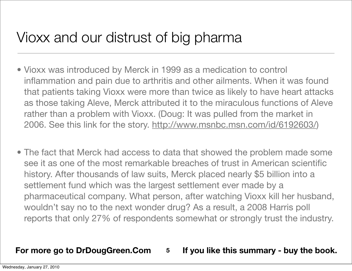# Vioxx and our distrust of big pharma

- Vioxx was introduced by Merck in 1999 as a medication to control inflammation and pain due to arthritis and other ailments. When it was found that patients taking Vioxx were more than twice as likely to have heart attacks as those taking Aleve, Merck attributed it to the miraculous functions of Aleve rather than a problem with Vioxx. (Doug: It was pulled from the market in 2006. See this link for the story. [http://www.msnbc.msn.com/id/6192603/\)](http://www.msnbc.msn.com/id/6192603/)
- The fact that Merck had access to data that showed the problem made some see it as one of the most remarkable breaches of trust in American scientific history. After thousands of law suits, Merck placed nearly \$5 billion into a settlement fund which was the largest settlement ever made by a pharmaceutical company. What person, after watching Vioxx kill her husband, wouldn't say no to the next wonder drug? As a result, a 2008 Harris poll reports that only 27% of respondents somewhat or strongly trust the industry.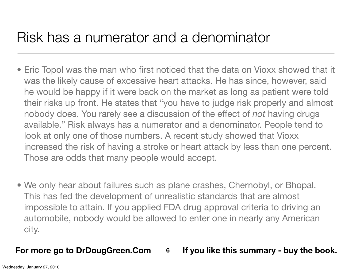### Risk has a numerator and a denominator

- Eric Topol was the man who first noticed that the data on Vioxx showed that it was the likely cause of excessive heart attacks. He has since, however, said he would be happy if it were back on the market as long as patient were told their risks up front. He states that "you have to judge risk properly and almost nobody does. You rarely see a discussion of the effect of *not* having drugs available." Risk always has a numerator and a denominator. People tend to look at only one of those numbers. A recent study showed that Vioxx increased the risk of having a stroke or heart attack by less than one percent. Those are odds that many people would accept.
- We only hear about failures such as plane crashes, Chernobyl, or Bhopal. This has fed the development of unrealistic standards that are almost impossible to attain. If you applied FDA drug approval criteria to driving an automobile, nobody would be allowed to enter one in nearly any American city.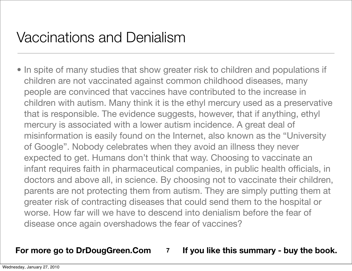## Vaccinations and Denialism

• In spite of many studies that show greater risk to children and populations if children are not vaccinated against common childhood diseases, many people are convinced that vaccines have contributed to the increase in children with autism. Many think it is the ethyl mercury used as a preservative that is responsible. The evidence suggests, however, that if anything, ethyl mercury is associated with a lower autism incidence. A great deal of misinformation is easily found on the Internet, also known as the "University of Google". Nobody celebrates when they avoid an illness they never expected to get. Humans don't think that way. Choosing to vaccinate an infant requires faith in pharmaceutical companies, in public health officials, in doctors and above all, in science. By choosing not to vaccinate their children, parents are not protecting them from autism. They are simply putting them at greater risk of contracting diseases that could send them to the hospital or worse. How far will we have to descend into denialism before the fear of disease once again overshadows the fear of vaccines?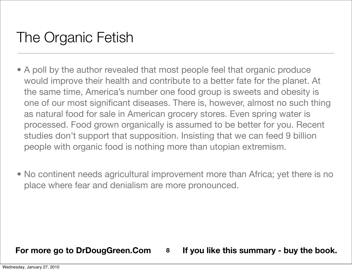# The Organic Fetish

- A poll by the author revealed that most people feel that organic produce would improve their health and contribute to a better fate for the planet. At the same time, America's number one food group is sweets and obesity is one of our most significant diseases. There is, however, almost no such thing as natural food for sale in American grocery stores. Even spring water is processed. Food grown organically is assumed to be better for you. Recent studies don't support that supposition. Insisting that we can feed 9 billion people with organic food is nothing more than utopian extremism.
- No continent needs agricultural improvement more than Africa; yet there is no place where fear and denialism are more pronounced.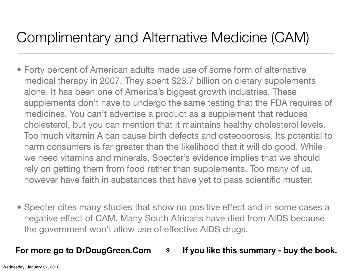# Complimentary and Alternative Medicine (CAM)

- Forty percent of American adults made use of some form of alternative medical therapy in 2007. They spent \$23.7 billion on dietary supplements alone. It has been one of America's biggest growth industries. These supplements don't have to undergo the same testing that the FDA requires of medicines. You can't advertise a product as a supplement that reduces cholesterol, but you can mention that it maintains healthy cholesterol levels. Too much vitamin A can cause birth defects and osteoporosis. Its potential to harm consumers is far greater than the likelihood that it will do good. While we need vitamins and minerals, Specter's evidence implies that we should rely on getting them from food rather than supplements. Too many of us, however have faith in substances that have yet to pass scientific muster.
- Specter cites many studies that show no positive effect and in some cases a negative effect of CAM. Many South Africans have died from AIDS because the government won't allow use of effective AIDS drugs.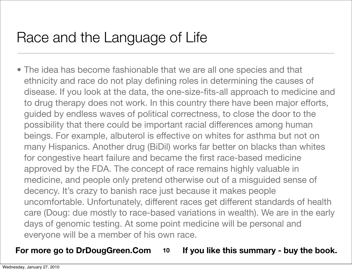# Race and the Language of Life

• The idea has become fashionable that we are all one species and that ethnicity and race do not play defining roles in determining the causes of disease. If you look at the data, the one-size-fits-all approach to medicine and to drug therapy does not work. In this country there have been major efforts, guided by endless waves of political correctness, to close the door to the possibility that there could be important racial differences among human beings. For example, albuterol is effective on whites for asthma but not on many Hispanics. Another drug (BiDil) works far better on blacks than whites for congestive heart failure and became the first race-based medicine approved by the FDA. The concept of race remains highly valuable in medicine, and people only pretend otherwise out of a misguided sense of decency. It's crazy to banish race just because it makes people uncomfortable. Unfortunately, different races get different standards of health care (Doug: due mostly to race-based variations in wealth). We are in the early days of genomic testing. At some point medicine will be personal and everyone will be a member of his own race.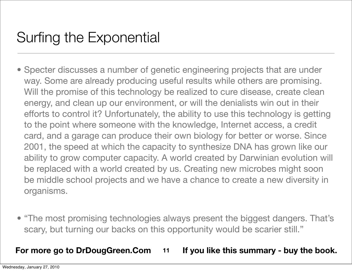# Surfing the Exponential

- Specter discusses a number of genetic engineering projects that are under way. Some are already producing useful results while others are promising. Will the promise of this technology be realized to cure disease, create clean energy, and clean up our environment, or will the denialists win out in their efforts to control it? Unfortunately, the ability to use this technology is getting to the point where someone with the knowledge, Internet access, a credit card, and a garage can produce their own biology for better or worse. Since 2001, the speed at which the capacity to synthesize DNA has grown like our ability to grow computer capacity. A world created by Darwinian evolution will be replaced with a world created by us. Creating new microbes might soon be middle school projects and we have a chance to create a new diversity in organisms.
- "The most promising technologies always present the biggest dangers. That's scary, but turning our backs on this opportunity would be scarier still."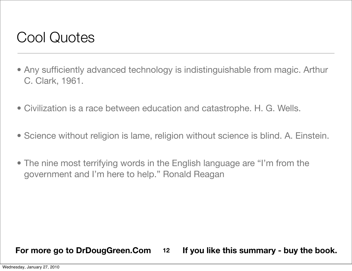### Cool Quotes

- Any sufficiently advanced technology is indistinguishable from magic. Arthur C. Clark, 1961.
- Civilization is a race between education and catastrophe. H. G. Wells.
- Science without religion is lame, religion without science is blind. A. Einstein.
- The nine most terrifying words in the English language are "I'm from the government and I'm here to help." Ronald Reagan